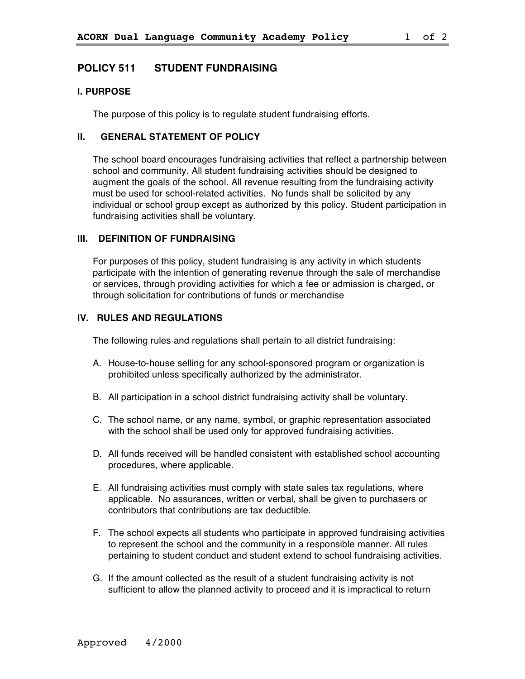# **POLICY 511 STUDENT FUNDRAISING**

#### **I. PURPOSE**

The purpose of this policy is to regulate student fundraising efforts.

### **II. GENERAL STATEMENT OF POLICY**

The school board encourages fundraising activities that reflect a partnership between school and community. All student fundraising activities should be designed to augment the goals of the school. All revenue resulting from the fundraising activity must be used for school-related activities. No funds shall be solicited by any individual or school group except as authorized by this policy. Student participation in fundraising activities shall be voluntary.

### **III. DEFINITION OF FUNDRAISING**

For purposes of this policy, student fundraising is any activity in which students participate with the intention of generating revenue through the sale of merchandise or services, through providing activities for which a fee or admission is charged, or through solicitation for contributions of funds or merchandise

### **IV. RULES AND REGULATIONS**

The following rules and regulations shall pertain to all district fundraising:

- A. House-to-house selling for any school-sponsored program or organization is prohibited unless specifically authorized by the administrator.
- B. All participation in a school district fundraising activity shall be voluntary.
- C. The school name, or any name, symbol, or graphic representation associated with the school shall be used only for approved fundraising activities.
- D. All funds received will be handled consistent with established school accounting procedures, where applicable.
- E. All fundraising activities must comply with state sales tax regulations, where applicable. No assurances, written or verbal, shall be given to purchasers or contributors that contributions are tax deductible.
- F. The school expects all students who participate in approved fundraising activities to represent the school and the community in a responsible manner. All rules pertaining to student conduct and student extend to school fundraising activities.
- G. If the amount collected as the result of a student fundraising activity is not sufficient to allow the planned activity to proceed and it is impractical to return